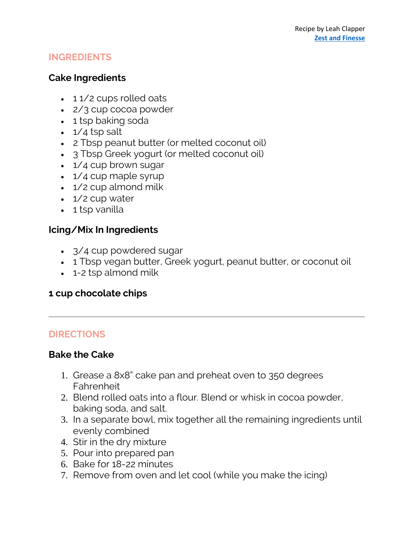#### **INGREDIENTS**

#### **Cake Ingredients**

- 11/2 cups rolled oats
- 2/3 cup cocoa powder
- 1 tsp baking soda
- $\cdot$  1/4 tsp salt
- 2 Tbsp peanut butter (or melted coconut oil)
- 3 Tbsp Greek yogurt (or melted coconut oil)
- 1/4 cup brown sugar
- 1/4 cup maple syrup
- 1/2 cup almond milk
- 1/2 cup water
- 1 tsp vanilla

# **Icing/Mix In Ingredients**

- 3/4 cup powdered sugar
- 1 Tbsp vegan butter, Greek yogurt, peanut butter, or coconut oil
- 1-2 tsp almond milk

# **1 cup chocolate chips**

# **DIRECTIONS**

# **Bake the Cake**

- 1. Grease a 8x8" cake pan and preheat oven to 350 degrees Fahrenheit
- 2. Blend rolled oats into a flour. Blend or whisk in cocoa powder, baking soda, and salt.
- 3. In a separate bowl, mix together all the remaining ingredients until evenly combined
- 4. Stir in the dry mixture
- 5. Pour into prepared pan
- 6. Bake for 18-22 minutes
- 7. Remove from oven and let cool (while you make the icing)